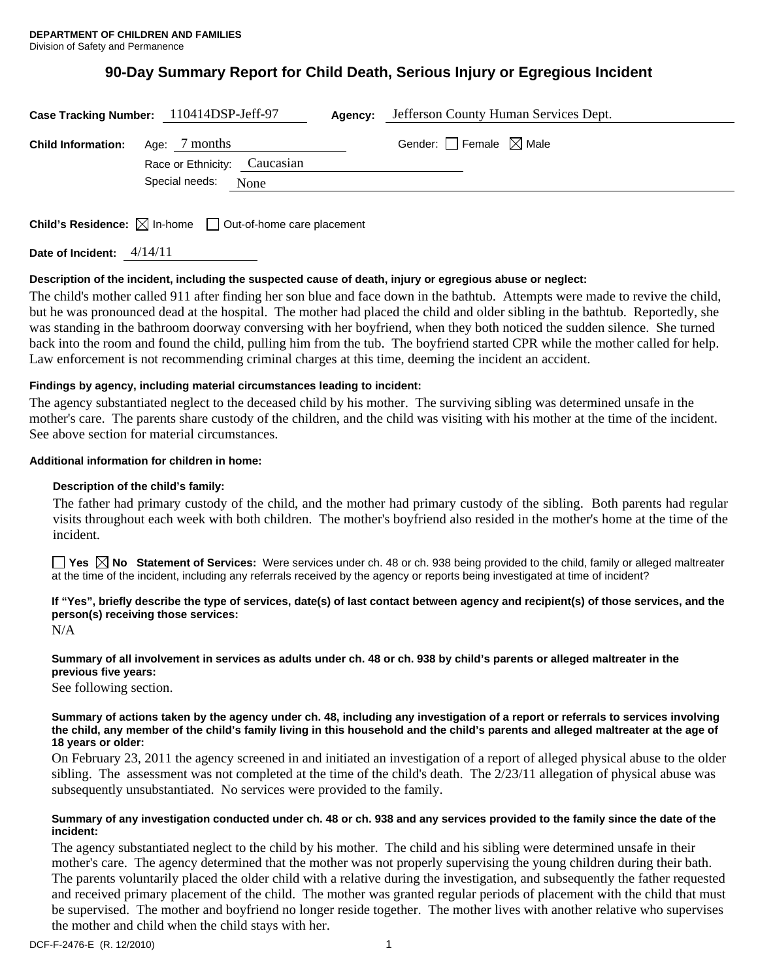# **90-Day Summary Report for Child Death, Serious Injury or Egregious Incident**

|                           | Case Tracking Number: 110414DSP-Jeff-97       | Agency: | Jefferson County Human Services Dept. |  |
|---------------------------|-----------------------------------------------|---------|---------------------------------------|--|
| <b>Child Information:</b> | Age: 7 months<br>Race or Ethnicity: Caucasian |         | Gender: Female $\boxtimes$ Male       |  |
|                           | Special needs:<br>None                        |         |                                       |  |
|                           |                                               |         |                                       |  |

**Child's Residence:**  $\boxtimes$  In-home  $\Box$  Out-of-home care placement

**Date of Incident:** 4/14/11

# **Description of the incident, including the suspected cause of death, injury or egregious abuse or neglect:**

The child's mother called 911 after finding her son blue and face down in the bathtub. Attempts were made to revive the child, but he was pronounced dead at the hospital. The mother had placed the child and older sibling in the bathtub. Reportedly, she was standing in the bathroom doorway conversing with her boyfriend, when they both noticed the sudden silence. She turned back into the room and found the child, pulling him from the tub. The boyfriend started CPR while the mother called for help. Law enforcement is not recommending criminal charges at this time, deeming the incident an accident.

## **Findings by agency, including material circumstances leading to incident:**

The agency substantiated neglect to the deceased child by his mother. The surviving sibling was determined unsafe in the mother's care. The parents share custody of the children, and the child was visiting with his mother at the time of the incident. See above section for material circumstances.

## **Additional information for children in home:**

## **Description of the child's family:**

The father had primary custody of the child, and the mother had primary custody of the sibling. Both parents had regular visits throughout each week with both children. The mother's boyfriend also resided in the mother's home at the time of the incident.

■ Yes △ No Statement of Services: Were services under ch. 48 or ch. 938 being provided to the child, family or alleged maltreater at the time of the incident, including any referrals received by the agency or reports being investigated at time of incident?

# **If "Yes", briefly describe the type of services, date(s) of last contact between agency and recipient(s) of those services, and the person(s) receiving those services:**

N/A

## **Summary of all involvement in services as adults under ch. 48 or ch. 938 by child's parents or alleged maltreater in the previous five years:**

See following section.

#### **Summary of actions taken by the agency under ch. 48, including any investigation of a report or referrals to services involving the child, any member of the child's family living in this household and the child's parents and alleged maltreater at the age of 18 years or older:**

On February 23, 2011 the agency screened in and initiated an investigation of a report of alleged physical abuse to the older sibling. The assessment was not completed at the time of the child's death. The 2/23/11 allegation of physical abuse was subsequently unsubstantiated. No services were provided to the family.

## **Summary of any investigation conducted under ch. 48 or ch. 938 and any services provided to the family since the date of the incident:**

The agency substantiated neglect to the child by his mother. The child and his sibling were determined unsafe in their mother's care. The agency determined that the mother was not properly supervising the young children during their bath. The parents voluntarily placed the older child with a relative during the investigation, and subsequently the father requested and received primary placement of the child. The mother was granted regular periods of placement with the child that must be supervised. The mother and boyfriend no longer reside together. The mother lives with another relative who supervises the mother and child when the child stays with her.